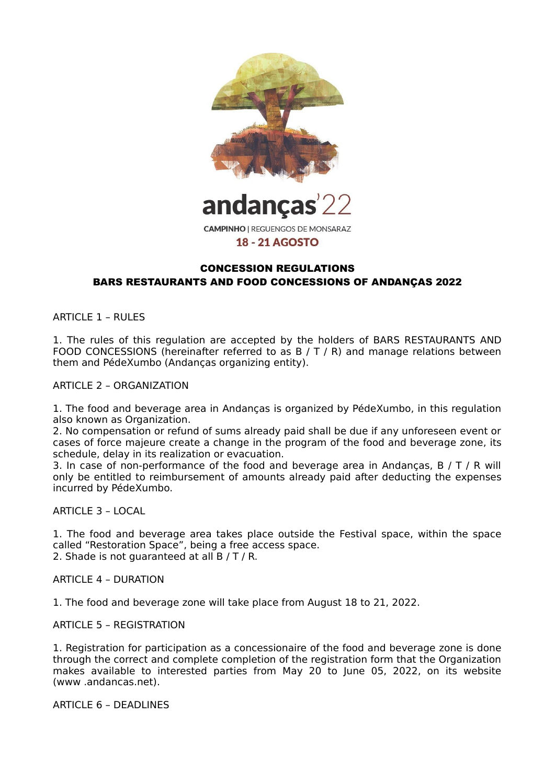

**CAMPINHO | REGUENGOS DE MONSARAZ 18 - 21 AGOSTO** 

# CONCESSION REGULATIONS BARS RESTAURANTS AND FOOD CONCESSIONS OF ANDANÇAS 2022

ARTICLE 1 – RULES

1. The rules of this regulation are accepted by the holders of BARS RESTAURANTS AND FOOD CONCESSIONS (hereinafter referred to as B / T / R) and manage relations between them and PédeXumbo (Andanças organizing entity).

ARTICLE 2 – ORGANIZATION

1. The food and beverage area in Andanças is organized by PédeXumbo, in this regulation also known as Organization.

2. No compensation or refund of sums already paid shall be due if any unforeseen event or cases of force majeure create a change in the program of the food and beverage zone, its schedule, delay in its realization or evacuation.

3. In case of non-performance of the food and beverage area in Andancas,  $B / T / R$  will only be entitled to reimbursement of amounts already paid after deducting the expenses incurred by PédeXumbo.

#### ARTICLE 3 – LOCAL

1. The food and beverage area takes place outside the Festival space, within the space called "Restoration Space", being a free access space. 2. Shade is not quaranteed at all B / T / R.

ARTICLE 4 – DURATION

1. The food and beverage zone will take place from August 18 to 21, 2022.

ARTICLE 5 – REGISTRATION

1. Registration for participation as a concessionaire of the food and beverage zone is done through the correct and complete completion of the registration form that the Organization makes available to interested parties from May 20 to June 05, 2022, on its website (www .andancas.net).

ARTICLE 6 – DEADLINES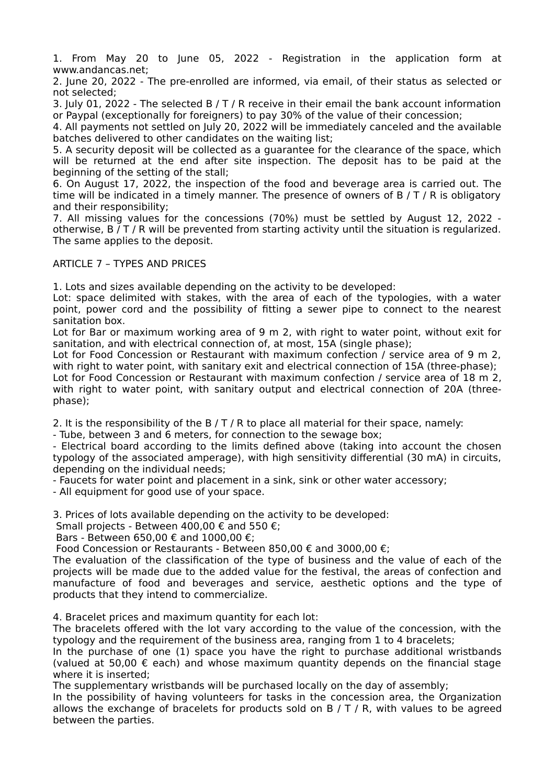1. From May 20 to June 05, 2022 - Registration in the application form at www.andancas.net;

2. June 20, 2022 - The pre-enrolled are informed, via email, of their status as selected or not selected;

3. July 01, 2022 - The selected B / T / R receive in their email the bank account information or Paypal (exceptionally for foreigners) to pay 30% of the value of their concession;

4. All payments not settled on July 20, 2022 will be immediately canceled and the available batches delivered to other candidates on the waiting list;

5. A security deposit will be collected as a guarantee for the clearance of the space, which will be returned at the end after site inspection. The deposit has to be paid at the beginning of the setting of the stall;

6. On August 17, 2022, the inspection of the food and beverage area is carried out. The time will be indicated in a timely manner. The presence of owners of  $B / T / R$  is obligatory and their responsibility;

7. All missing values for the concessions (70%) must be settled by August 12, 2022 otherwise, B / T / R will be prevented from starting activity until the situation is regularized. The same applies to the deposit.

#### ARTICLE 7 – TYPES AND PRICES

1. Lots and sizes available depending on the activity to be developed:

Lot: space delimited with stakes, with the area of each of the typologies, with a water point, power cord and the possibility of fitting a sewer pipe to connect to the nearest sanitation box.

Lot for Bar or maximum working area of 9 m 2, with right to water point, without exit for sanitation, and with electrical connection of, at most, 15A (single phase);

Lot for Food Concession or Restaurant with maximum confection / service area of 9 m 2, with right to water point, with sanitary exit and electrical connection of 15A (three-phase);

Lot for Food Concession or Restaurant with maximum confection / service area of 18 m 2, with right to water point, with sanitary output and electrical connection of 20A (threephase);

2. It is the responsibility of the B / T / R to place all material for their space, namely:

- Tube, between 3 and 6 meters, for connection to the sewage box;

- Electrical board according to the limits defined above (taking into account the chosen typology of the associated amperage), with high sensitivity differential (30 mA) in circuits, depending on the individual needs;

- Faucets for water point and placement in a sink, sink or other water accessory;

- All equipment for good use of your space.

3. Prices of lots available depending on the activity to be developed:

Small projects - Between 400,00  $\epsilon$  and 550  $\epsilon$ ;

Bars - Between 650,00 € and 1000,00 €:

Food Concession or Restaurants - Between 850,00  $\epsilon$  and 3000,00  $\epsilon$ ;

The evaluation of the classification of the type of business and the value of each of the projects will be made due to the added value for the festival, the areas of confection and manufacture of food and beverages and service, aesthetic options and the type of products that they intend to commercialize.

4. Bracelet prices and maximum quantity for each lot:

The bracelets offered with the lot vary according to the value of the concession, with the typology and the requirement of the business area, ranging from 1 to 4 bracelets;

In the purchase of one (1) space you have the right to purchase additional wristbands (valued at 50,00  $\epsilon$  each) and whose maximum quantity depends on the financial stage where it is inserted;

The supplementary wristbands will be purchased locally on the day of assembly;

In the possibility of having volunteers for tasks in the concession area, the Organization allows the exchange of bracelets for products sold on  $B / T / R$ , with values to be agreed between the parties.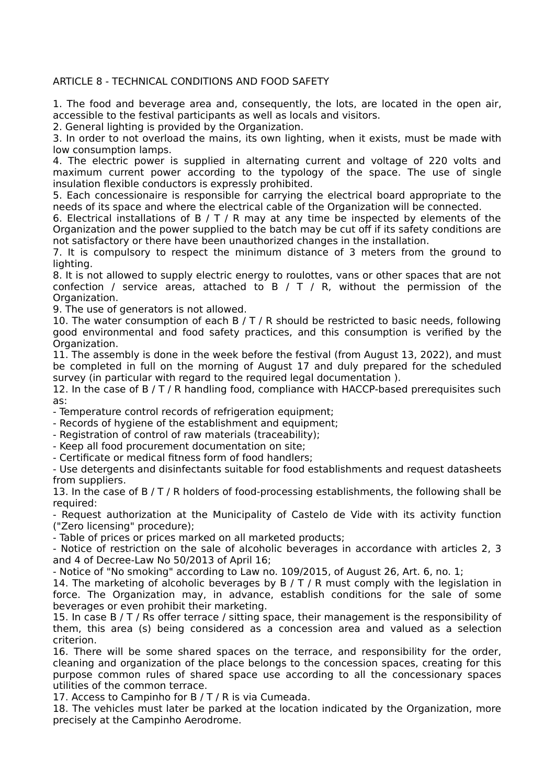# ARTICLE 8 - TECHNICAL CONDITIONS AND FOOD SAFETY

1. The food and beverage area and, consequently, the lots, are located in the open air, accessible to the festival participants as well as locals and visitors.

2. General lighting is provided by the Organization.

3. In order to not overload the mains, its own lighting, when it exists, must be made with low consumption lamps.

4. The electric power is supplied in alternating current and voltage of 220 volts and maximum current power according to the typology of the space. The use of single insulation flexible conductors is expressly prohibited.

5. Each concessionaire is responsible for carrying the electrical board appropriate to the needs of its space and where the electrical cable of the Organization will be connected.

6. Electrical installations of B  $/ T / R$  may at any time be inspected by elements of the Organization and the power supplied to the batch may be cut off if its safety conditions are not satisfactory or there have been unauthorized changes in the installation.

7. It is compulsory to respect the minimum distance of 3 meters from the ground to lighting.

8. It is not allowed to supply electric energy to roulottes, vans or other spaces that are not confection / service areas, attached to  $B / T / R$ , without the permission of the Organization.

9. The use of generators is not allowed.

10. The water consumption of each B  $/$  T  $/$  R should be restricted to basic needs, following good environmental and food safety practices, and this consumption is verified by the Organization.

11. The assembly is done in the week before the festival (from August 13, 2022), and must be completed in full on the morning of August 17 and duly prepared for the scheduled survey (in particular with regard to the required legal documentation ).

12. In the case of B / T / R handling food, compliance with HACCP-based prerequisites such as:

- Temperature control records of refrigeration equipment;

- Records of hygiene of the establishment and equipment;

- Registration of control of raw materials (traceability);

- Keep all food procurement documentation on site;

- Certificate or medical fitness form of food handlers;

- Use detergents and disinfectants suitable for food establishments and request datasheets from suppliers.

13. In the case of B / T / R holders of food-processing establishments, the following shall be required:

- Request authorization at the Municipality of Castelo de Vide with its activity function ("Zero licensing" procedure);

- Table of prices or prices marked on all marketed products;

- Notice of restriction on the sale of alcoholic beverages in accordance with articles 2, 3 and 4 of Decree-Law No 50/2013 of April 16;

- Notice of "No smoking" according to Law no. 109/2015, of August 26, Art. 6, no. 1;

14. The marketing of alcoholic beverages by  $B / T / R$  must comply with the legislation in force. The Organization may, in advance, establish conditions for the sale of some beverages or even prohibit their marketing.

15. In case B / T / Rs offer terrace / sitting space, their management is the responsibility of them, this area (s) being considered as a concession area and valued as a selection criterion.

16. There will be some shared spaces on the terrace, and responsibility for the order, cleaning and organization of the place belongs to the concession spaces, creating for this purpose common rules of shared space use according to all the concessionary spaces utilities of the common terrace.

17. Access to Campinho for B / T / R is via Cumeada.

18. The vehicles must later be parked at the location indicated by the Organization, more precisely at the Campinho Aerodrome.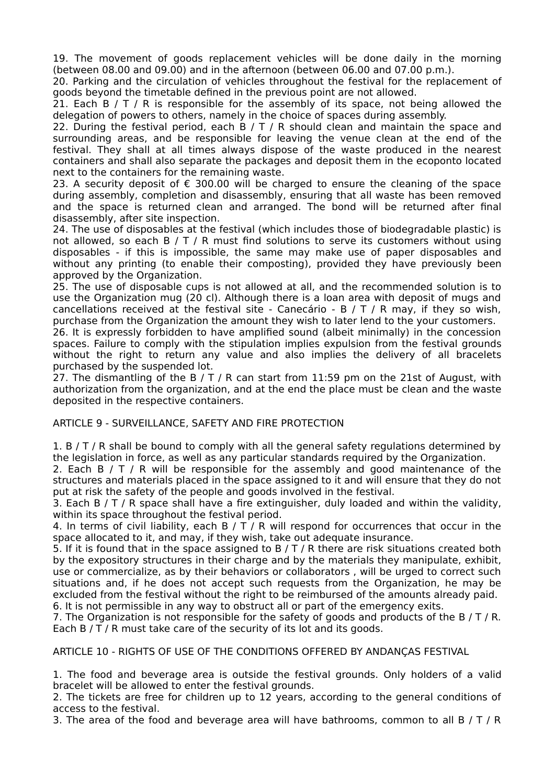19. The movement of goods replacement vehicles will be done daily in the morning (between 08.00 and 09.00) and in the afternoon (between 06.00 and 07.00 p.m.).

20. Parking and the circulation of vehicles throughout the festival for the replacement of goods beyond the timetable defined in the previous point are not allowed.

21. Each B  $/ T / R$  is responsible for the assembly of its space, not being allowed the delegation of powers to others, namely in the choice of spaces during assembly.

22. During the festival period, each B  $/$  T  $/$  R should clean and maintain the space and surrounding areas, and be responsible for leaving the venue clean at the end of the festival. They shall at all times always dispose of the waste produced in the nearest containers and shall also separate the packages and deposit them in the ecoponto located next to the containers for the remaining waste.

23. A security deposit of € 300.00 will be charged to ensure the cleaning of the space during assembly, completion and disassembly, ensuring that all waste has been removed and the space is returned clean and arranged. The bond will be returned after final disassembly, after site inspection.

24. The use of disposables at the festival (which includes those of biodegradable plastic) is not allowed, so each  $B / T / R$  must find solutions to serve its customers without using disposables - if this is impossible, the same may make use of paper disposables and without any printing (to enable their composting), provided they have previously been approved by the Organization.

25. The use of disposable cups is not allowed at all, and the recommended solution is to use the Organization mug (20 cl). Although there is a loan area with deposit of mugs and cancellations received at the festival site - Canecário - B / T / R may, if they so wish, purchase from the Organization the amount they wish to later lend to the your customers.

26. It is expressly forbidden to have amplified sound (albeit minimally) in the concession spaces. Failure to comply with the stipulation implies expulsion from the festival grounds without the right to return any value and also implies the delivery of all bracelets purchased by the suspended lot.

27. The dismantling of the B / T / R can start from 11:59 pm on the 21st of August, with authorization from the organization, and at the end the place must be clean and the waste deposited in the respective containers.

### ARTICLE 9 - SURVEILLANCE, SAFETY AND FIRE PROTECTION

1. B / T / R shall be bound to comply with all the general safety regulations determined by the legislation in force, as well as any particular standards required by the Organization.

2. Each B / T / R will be responsible for the assembly and good maintenance of the structures and materials placed in the space assigned to it and will ensure that they do not put at risk the safety of the people and goods involved in the festival.

3. Each B  $/T / R$  space shall have a fire extinguisher, duly loaded and within the validity, within its space throughout the festival period.

4. In terms of civil liability, each B  $/ T / R$  will respond for occurrences that occur in the space allocated to it, and may, if they wish, take out adequate insurance.

5. If it is found that in the space assigned to  $B / T / R$  there are risk situations created both by the expository structures in their charge and by the materials they manipulate, exhibit, use or commercialize, as by their behaviors or collaborators , will be urged to correct such situations and, if he does not accept such requests from the Organization, he may be excluded from the festival without the right to be reimbursed of the amounts already paid. 6. It is not permissible in any way to obstruct all or part of the emergency exits.

7. The Organization is not responsible for the safety of goods and products of the B / T / R. Each B / T / R must take care of the security of its lot and its goods.

ARTICLE 10 - RIGHTS OF USE OF THE CONDITIONS OFFERED BY ANDANÇAS FESTIVAL

1. The food and beverage area is outside the festival grounds. Only holders of a valid bracelet will be allowed to enter the festival grounds.

2. The tickets are free for children up to 12 years, according to the general conditions of access to the festival.

3. The area of the food and beverage area will have bathrooms, common to all B / T / R